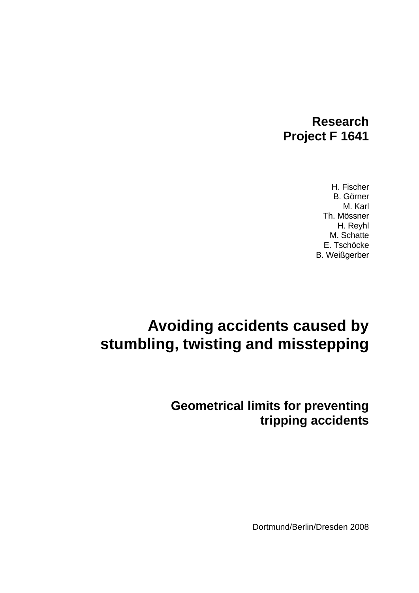# **Research Project F 1641**

H. Fischer B. Görner M. Karl Th. Mössner H. Reyhl M. Schatte E. Tschöcke B. Weißgerber

# **Avoiding accidents caused by stumbling, twisting and misstepping**

# **Geometrical limits for preventing tripping accidents**

Dortmund/Berlin/Dresden 2008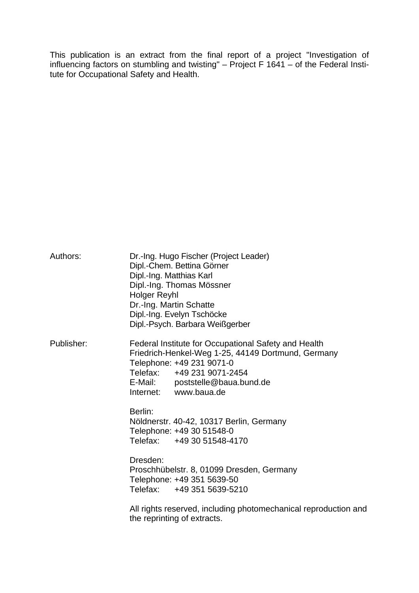This publication is an extract from the final report of a project "Investigation of influencing factors on stumbling and twisting"  $-$  Project F 1641  $-$  of the Federal Insti tute for Occupational Safety and Health.

| Authors:   | Dipl.-Ing. Matthias Karl<br><b>Holger Reyhl</b><br>Dr.-Ing. Martin Schatte | Dr.-Ing. Hugo Fischer (Project Leader)<br>Dipl.-Chem. Bettina Görner<br>Dipl.-Ing. Thomas Mössner<br>Dipl.-Ing. Evelyn Tschöcke<br>Dipl.-Psych. Barbara Weißgerber                                                                |
|------------|----------------------------------------------------------------------------|-----------------------------------------------------------------------------------------------------------------------------------------------------------------------------------------------------------------------------------|
| Publisher: |                                                                            | Federal Institute for Occupational Safety and Health<br>Friedrich-Henkel-Weg 1-25, 44149 Dortmund, Germany<br>Telephone: +49 231 9071-0<br>Telefax: +49 231 9071-2454<br>E-Mail: poststelle@baua.bund.de<br>Internet: www.baua.de |
|            | Berlin:                                                                    | Nöldnerstr. 40-42, 10317 Berlin, Germany<br>Telephone: +49 30 51548-0<br>Telefax: +49 30 51548-4170                                                                                                                               |
|            | Dresden:                                                                   | Proschhübelstr. 8, 01099 Dresden, Germany<br>Telephone: +49 351 5639-50<br>Telefax: +49 351 5639-5210                                                                                                                             |
|            |                                                                            | All rights reserved, including photomechanical reproduction and<br>the reprinting of extracts.                                                                                                                                    |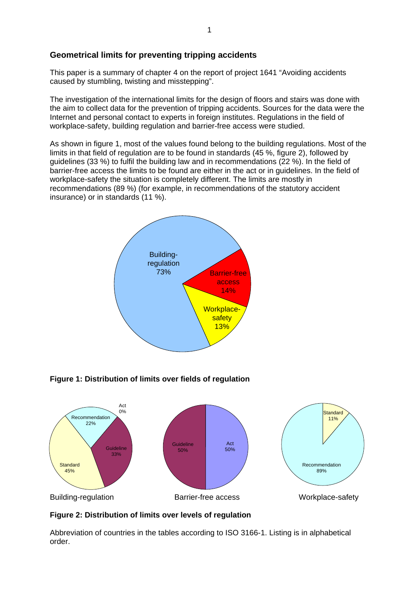#### **Geometrical limits for preventing tripping accidents**

This paper is a summary of chapter 4 on the report of project 1641 "Avoiding accidents caused by stumbling, twisting and misstepping".

The investigation of the international limits for the design of floors and stairs was done with the aim to collect data for the prevention of tripping accidents. Sources for the data were the Internet and personal contact to experts in foreign institutes. Regulations in the field of workplace-safety, building regulation and barrier-free access were studied.

As shown in figure 1, most of the values found belong to the building regulations. Most of the limits in that field of regulation are to be found in standards (45 %, figure 2), followed by guidelines (33 %) to fulfil the building law and in recommendations (22 %). In the field of barrier-free access the limits to be found are either in the act or in guidelines. In the field of workplace-safety the situation is completely different. The limits are mostly in recommendations (89 %) (for example, in recommendations of the statutory accident insurance) or in standards (11 %).



**Figure 1: Distribution of limits over fields of regulation** 



#### **Figure 2: Distribution of limits over levels of regulation**

Abbreviation of countries in the tables according to ISO 3166-1. Listing is in alphabetical order.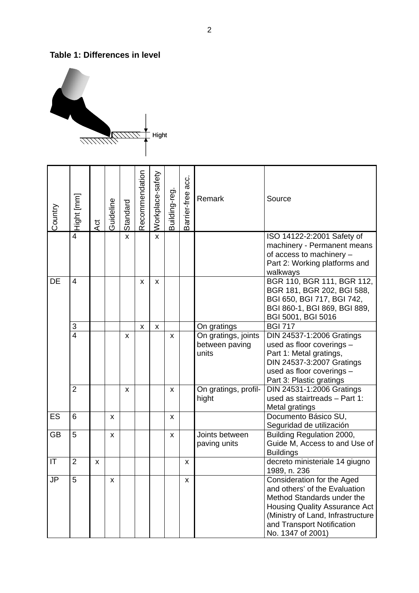#### **Table 1: Differences in level**



| Country                | Hight [mm]     | Ąct | Guideline | Standard | Recommendation | Workplace-safety | Building-reg. | Barrier-free acc. | Remark                                         | Source                                                                                                                                                                                                                    |
|------------------------|----------------|-----|-----------|----------|----------------|------------------|---------------|-------------------|------------------------------------------------|---------------------------------------------------------------------------------------------------------------------------------------------------------------------------------------------------------------------------|
|                        | $\overline{4}$ |     |           | x        |                | X                |               |                   |                                                | ISO 14122-2:2001 Safety of<br>machinery - Permanent means<br>of access to machinery -<br>Part 2: Working platforms and<br>walkways                                                                                        |
| <b>DE</b>              | $\overline{4}$ |     |           |          | X              | X                |               |                   |                                                | BGR 110, BGR 111, BGR 112,<br>BGR 181, BGR 202, BGI 588,<br>BGI 650, BGI 717, BGI 742,<br>BGI 860-1, BGI 869, BGI 889,<br>BGI 5001, BGI 5016                                                                              |
|                        | 3              |     |           |          | X              | X                |               |                   | On gratings                                    | <b>BGI 717</b>                                                                                                                                                                                                            |
|                        | $\overline{4}$ |     |           | x        |                |                  | X             |                   | On gratings, joints<br>between paving<br>units | DIN 24537-1:2006 Gratings<br>used as floor coverings -<br>Part 1: Metal gratings,<br>DIN 24537-3:2007 Gratings<br>used as floor coverings -<br>Part 3: Plastic gratings                                                   |
|                        | $\overline{2}$ |     |           | x        |                |                  | X             |                   | On gratings, profil-<br>hight                  | DIN 24531-1:2006 Gratings<br>used as stairtreads - Part 1:<br>Metal gratings                                                                                                                                              |
| ES                     | 6              |     | x         |          |                |                  | X             |                   |                                                | Documento Básico SU,<br>Seguridad de utilización                                                                                                                                                                          |
| <b>GB</b>              | 5              |     | X         |          |                |                  | X             |                   | Joints between<br>paving units                 | Building Regulation 2000,<br>Guide M, Access to and Use of<br><b>Buildings</b>                                                                                                                                            |
| $\mathsf{I}\mathsf{T}$ | $\overline{2}$ | x   |           |          |                |                  |               | X                 |                                                | decreto ministeriale 14 giugno<br>1989, n. 236                                                                                                                                                                            |
| <b>JP</b>              | 5              |     | x         |          |                |                  |               | X                 |                                                | Consideration for the Aged<br>and others' of the Evaluation<br>Method Standards under the<br><b>Housing Quality Assurance Act</b><br>(Ministry of Land, Infrastructure<br>and Transport Notification<br>No. 1347 of 2001) |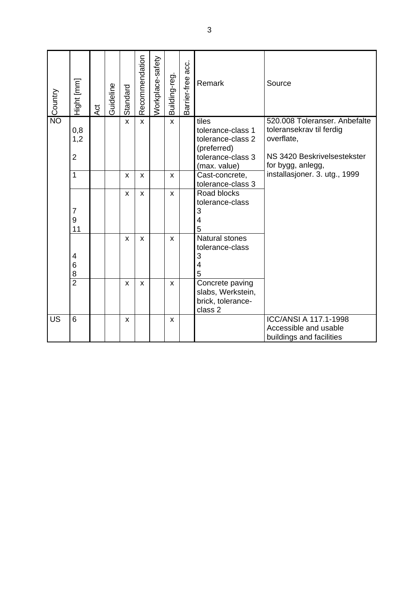| <b>Monday</b> | Hight [mm]                        | Act | Guideline | Standard     | Recommendation | Workplace-safety | Building-reg. | acc.<br>Barrier-free | Remark                                                                                              | Source                                                                                                                      |
|---------------|-----------------------------------|-----|-----------|--------------|----------------|------------------|---------------|----------------------|-----------------------------------------------------------------------------------------------------|-----------------------------------------------------------------------------------------------------------------------------|
|               | 0,8<br>1,2<br>$\overline{2}$      |     |           | $\mathsf{x}$ | X              |                  | $\mathsf{x}$  |                      | tiles<br>tolerance-class 1<br>tolerance-class 2<br>(preferred)<br>tolerance-class 3<br>(max. value) | 520.008 Toleranser, Anbefalte<br>toleransekrav til ferdig<br>overflate,<br>NS 3420 Beskrivelsestekster<br>for bygg, anlegg, |
|               | 1                                 |     |           | X            | X              |                  | X             |                      | Cast-concrete,<br>tolerance-class 3                                                                 | installasjoner. 3. utg., 1999                                                                                               |
|               | $\overline{7}$<br>9<br>11         |     |           | X            | X              |                  | X             |                      | Road blocks<br>tolerance-class<br>3<br>$\overline{\mathcal{A}}$<br>5                                |                                                                                                                             |
|               | $\overline{\mathbf{4}}$<br>6<br>8 |     |           | X            | X              |                  | X             |                      | <b>Natural stones</b><br>tolerance-class<br>3<br>4<br>5                                             |                                                                                                                             |
|               | $\overline{2}$                    |     |           | $\mathsf{x}$ | X              |                  | $\mathsf{x}$  |                      | Concrete paving<br>slabs, Werkstein,<br>brick, tolerance-<br>class <sub>2</sub>                     |                                                                                                                             |
| <b>US</b>     | 6                                 |     |           | X            |                |                  | X             |                      |                                                                                                     | <b>ICC/ANSI A 117.1-1998</b><br>Accessible and usable<br>buildings and facilities                                           |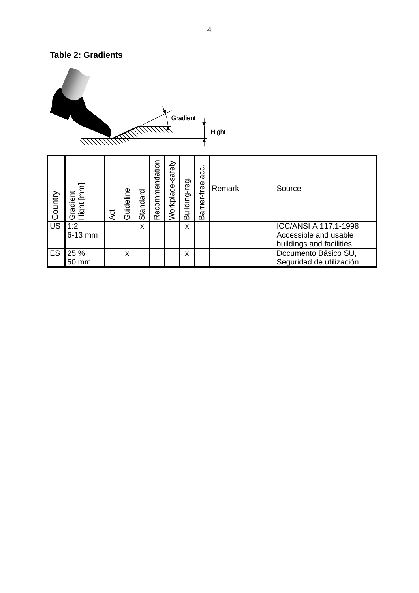#### **Table 2: Gradients**

|         |                        |     |           |          |                |                  | Gradient      |                      | Hight  |                                                                            |
|---------|------------------------|-----|-----------|----------|----------------|------------------|---------------|----------------------|--------|----------------------------------------------------------------------------|
| Country | Gradient<br>Hight [mm] | Act | Guideline | Standard | Recommendation | Workplace-safety | Building-reg. | acc.<br>Barrier-free | Remark | Source                                                                     |
| US      | 1:2<br>6-13 mm         |     |           | X        |                |                  | X             |                      |        | ICC/ANSI A 117.1-1998<br>Accessible and usable<br>buildings and facilities |
| ES      | 25 %<br>50 mm          |     | X         |          |                |                  | X             |                      |        | Documento Básico SU,<br>Seguridad de utilización                           |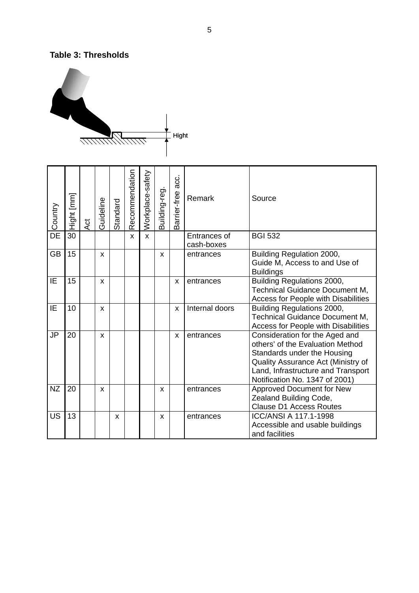#### **Table 3: Thresholds**



| Country   | Hight [mm] | $\overline{A}$ Ct | Guideline | Standard | Recommendation | Workplace-safety | Building-reg | acc.<br>arrier-free<br>m | Remark                     | Source                                                                                                                                                                                                          |
|-----------|------------|-------------------|-----------|----------|----------------|------------------|--------------|--------------------------|----------------------------|-----------------------------------------------------------------------------------------------------------------------------------------------------------------------------------------------------------------|
| DE        | 30         |                   |           |          | X              | X                |              |                          | Entrances of<br>cash-boxes | <b>BGI 532</b>                                                                                                                                                                                                  |
| <b>GB</b> | 15         |                   | X         |          |                |                  | X            |                          | entrances                  | Building Regulation 2000,<br>Guide M, Access to and Use of<br><b>Buildings</b>                                                                                                                                  |
| IE        | 15         |                   | X         |          |                |                  |              | X                        | entrances                  | <b>Building Regulations 2000,</b><br>Technical Guidance Document M,<br><b>Access for People with Disabilities</b>                                                                                               |
| IE        | 10         |                   | X         |          |                |                  |              | X                        | Internal doors             | Building Regulations 2000,<br><b>Technical Guidance Document M,</b><br>Access for People with Disabilities                                                                                                      |
| <b>JP</b> | 20         |                   | X         |          |                |                  |              | X                        | entrances                  | Consideration for the Aged and<br>others' of the Evaluation Method<br>Standards under the Housing<br>Quality Assurance Act (Ministry of<br>Land, Infrastructure and Transport<br>Notification No. 1347 of 2001) |
| <b>NZ</b> | 20         |                   | X         |          |                |                  | X            |                          | entrances                  | <b>Approved Document for New</b><br>Zealand Building Code,<br><b>Clause D1 Access Routes</b>                                                                                                                    |
| <b>US</b> | 13         |                   |           | X        |                |                  | X            |                          | entrances                  | <b>ICC/ANSI A 117.1-1998</b><br>Accessible and usable buildings<br>and facilities                                                                                                                               |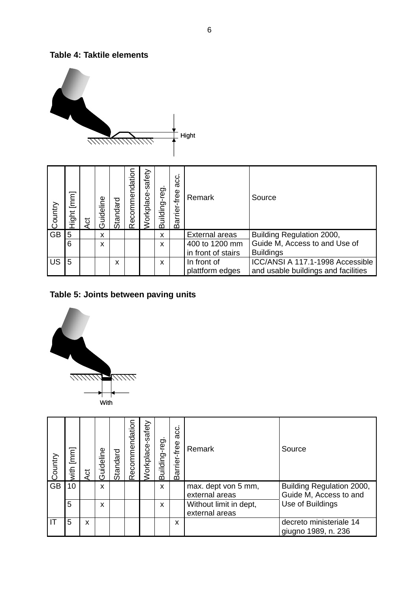#### **Table 4: Taktile elements**



| Country   | $\begin{bmatrix} 1 \\ 2 \end{bmatrix}$<br>Hight | 5d | Guideline | Standard | Recommendation | safety<br>Workplace | Building-reg | း<br>အ<br>rrier-free<br>Bā | Remark                | Source                              |
|-----------|-------------------------------------------------|----|-----------|----------|----------------|---------------------|--------------|----------------------------|-----------------------|-------------------------------------|
| <b>GB</b> | 5                                               |    | X         |          |                |                     | X            |                            | <b>External areas</b> | Building Regulation 2000,           |
|           | 6                                               |    | X         |          |                |                     | X            |                            | 400 to 1200 mm        | Guide M, Access to and Use of       |
|           |                                                 |    |           |          |                |                     |              |                            | in front of stairs    | <b>Buildings</b>                    |
| <b>US</b> | 5                                               |    |           | x        |                |                     | X            |                            | In front of           | ICC/ANSI A 117.1-1998 Accessible    |
|           |                                                 |    |           |          |                |                     |              |                            | plattform edges       | and usable buildings and facilities |

#### **Table 5: Joints between paving units**



| Country   | with [mm] | ಕ | Guideline | Standard | Recommendation | safety<br>Norkplace | Building-reg. | acc.<br>-free<br><b>Barrier</b> | Remark                                   | Source                                              |
|-----------|-----------|---|-----------|----------|----------------|---------------------|---------------|---------------------------------|------------------------------------------|-----------------------------------------------------|
| <b>GB</b> | 10        |   | X         |          |                |                     | X             |                                 | max. dept von 5 mm,<br>external areas    | Building Regulation 2000,<br>Guide M, Access to and |
|           | 5         |   | X         |          |                |                     | X             |                                 | Without limit in dept,<br>external areas | Use of Buildings                                    |
| IT        | 5         | x |           |          |                |                     |               | X                               |                                          | decreto ministeriale 14<br>giugno 1989, n. 236      |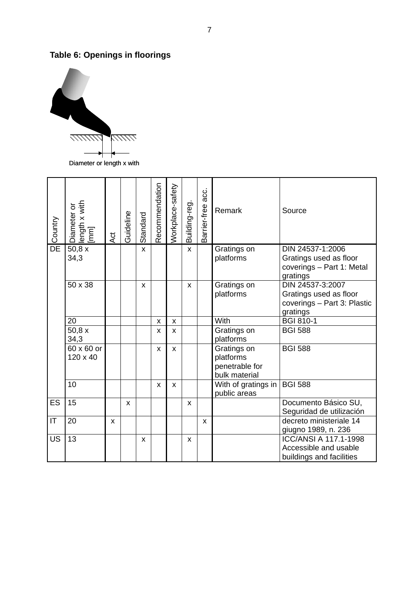## **Table 6: Openings in floorings**



| Country         | length x with<br>[mm]<br>Diameter or | Act | Guideline | Standard | Recommendation | Workplace-safety | Building-reg. | acc.<br>Barrier-free | Remark              | Source                                              |
|-----------------|--------------------------------------|-----|-----------|----------|----------------|------------------|---------------|----------------------|---------------------|-----------------------------------------------------|
| $\overline{DE}$ | 50,8x                                |     |           | X        |                |                  | X             |                      | Gratings on         | DIN 24537-1:2006                                    |
|                 | 34,3                                 |     |           |          |                |                  |               |                      | platforms           | Gratings used as floor<br>coverings - Part 1: Metal |
|                 |                                      |     |           |          |                |                  |               |                      |                     | gratings                                            |
|                 | 50 x 38                              |     |           | X        |                |                  | $\mathsf{x}$  |                      | Gratings on         | DIN 24537-3:2007                                    |
|                 |                                      |     |           |          |                |                  |               |                      | platforms           | Gratings used as floor                              |
|                 |                                      |     |           |          |                |                  |               |                      |                     | coverings - Part 3: Plastic                         |
|                 |                                      |     |           |          |                |                  |               |                      |                     | gratings                                            |
|                 | 20                                   |     |           |          | X              | X                |               |                      | With                | <b>BGI 810-1</b>                                    |
|                 | 50,8x                                |     |           |          | X              | X                |               |                      | Gratings on         | <b>BGI 588</b>                                      |
|                 | 34,3                                 |     |           |          |                |                  |               |                      | platforms           |                                                     |
|                 | 60 x 60 or                           |     |           |          | X              | $\mathbf{x}$     |               |                      | Gratings on         | <b>BGI 588</b>                                      |
|                 | 120 x 40                             |     |           |          |                |                  |               |                      | platforms           |                                                     |
|                 |                                      |     |           |          |                |                  |               |                      | penetrable for      |                                                     |
|                 |                                      |     |           |          |                |                  |               |                      | bulk material       |                                                     |
|                 | 10                                   |     |           |          | X              | X                |               |                      | With of gratings in | <b>BGI 588</b>                                      |
|                 |                                      |     |           |          |                |                  |               |                      | public areas        |                                                     |
| ES              | 15                                   |     | X         |          |                |                  | $\mathsf{x}$  |                      |                     | Documento Básico SU,                                |
|                 |                                      |     |           |          |                |                  |               |                      |                     | Seguridad de utilización                            |
| IT              | 20                                   | X   |           |          |                |                  |               | X                    |                     | decreto ministeriale 14                             |
|                 |                                      |     |           |          |                |                  |               |                      |                     | giugno 1989, n. 236                                 |
| <b>US</b>       | 13                                   |     |           | X        |                |                  | X             |                      |                     | ICC/ANSI A 117.1-1998                               |
|                 |                                      |     |           |          |                |                  |               |                      |                     | Accessible and usable                               |
|                 |                                      |     |           |          |                |                  |               |                      |                     | buildings and facilities                            |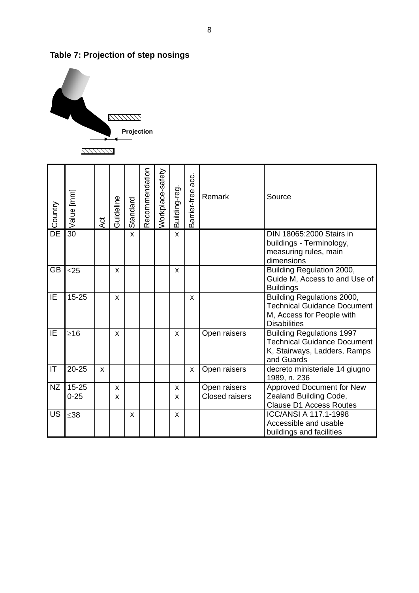

## **Table 7: Projection of step nosings**

| Country                  | Value [mm] | 4ct | Guideline | Standard     | Recommendation | Workplace-safety | Building-reg. | acc.<br>Barrier-free | Remark                | Source                                                                                                               |
|--------------------------|------------|-----|-----------|--------------|----------------|------------------|---------------|----------------------|-----------------------|----------------------------------------------------------------------------------------------------------------------|
| DE                       | 30         |     |           | X            |                |                  | X             |                      |                       | DIN 18065:2000 Stairs in<br>buildings - Terminology,<br>measuring rules, main<br>dimensions                          |
| <b>GB</b>                | $\leq$ 25  |     | X         |              |                |                  | X             |                      |                       | Building Regulation 2000,<br>Guide M, Access to and Use of<br><b>Buildings</b>                                       |
| IE                       | $15 - 25$  |     | X         |              |                |                  |               | X                    |                       | Building Regulations 2000,<br><b>Technical Guidance Document</b><br>M, Access for People with<br><b>Disabilities</b> |
| IE                       | $\geq 16$  |     | X         |              |                |                  | X             |                      | Open raisers          | <b>Building Regulations 1997</b><br><b>Technical Guidance Document</b><br>K, Stairways, Ladders, Ramps<br>and Guards |
| $\mathsf{I}\mathsf{T}$   | $20 - 25$  | X   |           |              |                |                  |               | X                    | Open raisers          | decreto ministeriale 14 giugno<br>1989, n. 236                                                                       |
| <b>NZ</b>                | $15 - 25$  |     | X         |              |                |                  | X             |                      | Open raisers          | <b>Approved Document for New</b>                                                                                     |
|                          | $0 - 25$   |     | X         |              |                |                  | X             |                      | <b>Closed raisers</b> | Zealand Building Code,<br><b>Clause D1 Access Routes</b>                                                             |
| $\overline{\mathsf{US}}$ | $≤38$      |     |           | $\mathsf{x}$ |                |                  | X             |                      |                       | ICC/ANSI A 117.1-1998<br>Accessible and usable<br>buildings and facilities                                           |